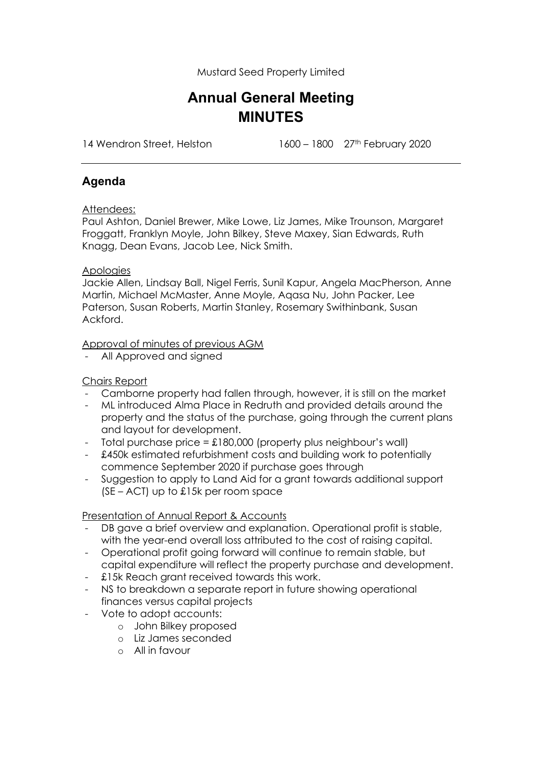Mustard Seed Property Limited

# **Annual General Meeting MINUTES**

14 Wendron Street, Helston 1600 – 1800 – 1800 27<sup>th</sup> February 2020

## **Agenda**

### Attendees:

Paul Ashton, Daniel Brewer, Mike Lowe, Liz James, Mike Trounson, Margaret Froggatt, Franklyn Moyle, John Bilkey, Steve Maxey, Sian Edwards, Ruth Knagg, Dean Evans, Jacob Lee, Nick Smith.

### **Apologies**

Jackie Allen, Lindsay Ball, Nigel Ferris, Sunil Kapur, Angela MacPherson, Anne Martin, Michael McMaster, Anne Moyle, Aqasa Nu, John Packer, Lee Paterson, Susan Roberts, Martin Stanley, Rosemary Swithinbank, Susan Ackford.

### Approval of minutes of previous AGM

- All Approved and signed

### Chairs Report

- Camborne property had fallen through, however, it is still on the market
- ML introduced Alma Place in Redruth and provided details around the property and the status of the purchase, going through the current plans and layout for development.
- Total purchase price =  $£180,000$  (property plus neighbour's wall)
- £450k estimated refurbishment costs and building work to potentially commence September 2020 if purchase goes through
- Suggestion to apply to Land Aid for a grant towards additional support  $(SE - ACT)$  up to £15k per room space

#### Presentation of Annual Report & Accounts

- DB gave a brief overview and explanation. Operational profit is stable, with the year-end overall loss attributed to the cost of raising capital.
- Operational profit going forward will continue to remain stable, but capital expenditure will reflect the property purchase and development.
- £15k Reach grant received towards this work.
- NS to breakdown a separate report in future showing operational finances versus capital projects
- Vote to adopt accounts:
	- o John Bilkey proposed
	- o Liz James seconded
	- o All in favour